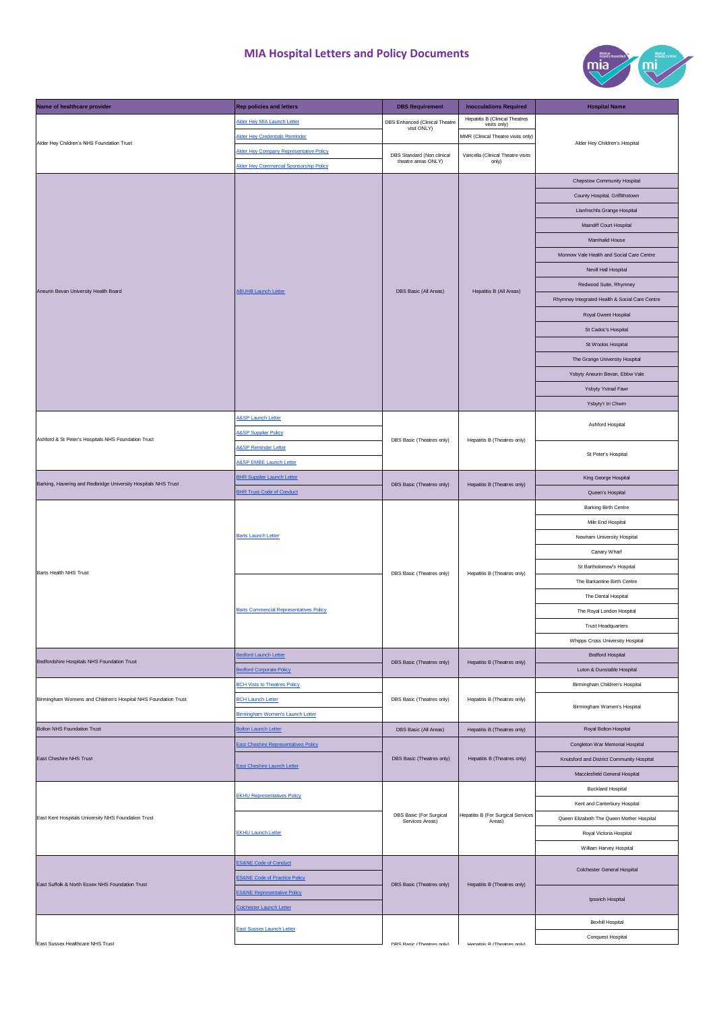

| Name of healthcare provider                                    | <b>Rep policies and letters</b>                | <b>DBS Requirement</b>                            | <b>Inocculations Required</b>                       | <b>Hospital Name</b>                           |
|----------------------------------------------------------------|------------------------------------------------|---------------------------------------------------|-----------------------------------------------------|------------------------------------------------|
|                                                                | Alder Hey MIA Launch Letter                    | DBS Enhanced (Clinical Theatre                    | <b>Hepatitis B (Clinical Theatres</b>               |                                                |
| Alder Hey Children's NHS Foundation Trust                      | <b>Alder Hey Credentials Reminder</b>          | visit ONLY)                                       | visits only)<br>MMR (Clinical Theatre visits only)  |                                                |
|                                                                | Alder Hey Company Representative Policy        |                                                   |                                                     | Alder Hey Children's Hospital                  |
|                                                                | Alder Hey Commercial Sponsorship Policy        | DBS Standard (Non clinical<br>theatre areas ONLY) | Varicella (Clinical Theatre visits<br>only)         |                                                |
| Aneurin Bevan University Health Board                          |                                                |                                                   |                                                     |                                                |
|                                                                | <b>ABUHB Launch Letter</b>                     | DBS Basic (All Areas)                             | Hepatitis B (All Areas)                             | Chepstow Community Hospital                    |
|                                                                |                                                |                                                   |                                                     | County Hospital, Griffithstown                 |
|                                                                |                                                |                                                   |                                                     | Llanfrechfa Grange Hospital                    |
|                                                                |                                                |                                                   |                                                     | Maindiff Court Hospital                        |
|                                                                |                                                |                                                   |                                                     | Mamhalid House                                 |
|                                                                |                                                |                                                   |                                                     | Monnow Vale Health and Social Care Centre      |
|                                                                |                                                |                                                   |                                                     | Nevill Hall Hospital                           |
|                                                                |                                                |                                                   |                                                     | Redwood Suite, Rhymney                         |
|                                                                |                                                |                                                   |                                                     | Rhymney Integrated Health & Social Care Centre |
|                                                                |                                                |                                                   |                                                     | Royal Gwent Hospital                           |
|                                                                |                                                |                                                   |                                                     | St Cadoc's Hospital                            |
|                                                                |                                                |                                                   |                                                     | St Woolos Hospital                             |
|                                                                |                                                |                                                   |                                                     | The Grange University Hospital                 |
|                                                                |                                                |                                                   |                                                     | Ysbyty Aneurin Bevan, Ebbw Vale                |
|                                                                |                                                |                                                   |                                                     | Ysbyty Ystrad Fawr                             |
|                                                                |                                                |                                                   |                                                     | Ysbyty'r tri Chwm                              |
|                                                                | A&SP Launch Letter                             |                                                   |                                                     |                                                |
|                                                                | <b>A&amp;SP Supplier Policy</b>                |                                                   |                                                     | Ashford Hospital                               |
| Ashford & St Peter's Hospitals NHS Foundation Trust            | <b>A&amp;SP Reminder Letter</b>                | DBS Basic (Theatres only)                         | Hepatitis B (Theatres only)                         |                                                |
|                                                                | <b>A&amp;SP EMBE Launch Letter</b>             |                                                   |                                                     | St Peter's Hospital                            |
|                                                                | <b>BHR Supplier Launch Letter</b>              |                                                   |                                                     | King George Hospital                           |
| Barking, Havering and Redbridge University Hospitals NHS Trust | <b>BHR Trust Code of Conduct</b>               | DBS Basic (Theatres only)                         | Hepatitis B (Theatres only)                         | Queen's Hospital                               |
|                                                                |                                                |                                                   |                                                     | <b>Barking Birth Centre</b>                    |
|                                                                |                                                |                                                   |                                                     | Mile End Hospital                              |
|                                                                | <b>Barts Launch Letter</b>                     | DBS Basic (Theatres only)                         | Hepatitis B (Theatres only)                         | Newham University Hospital                     |
|                                                                |                                                |                                                   |                                                     |                                                |
|                                                                |                                                |                                                   |                                                     | Canary Wharf                                   |
| Barts Health NHS Trust                                         |                                                |                                                   |                                                     | St Bartholomew's Hospital                      |
|                                                                | <b>Barts Commercial Representatives Policy</b> |                                                   |                                                     | The Barkantine Birth Centre                    |
|                                                                |                                                |                                                   |                                                     | The Dental Hospital                            |
|                                                                |                                                |                                                   |                                                     | The Royal London Hospital                      |
|                                                                |                                                |                                                   |                                                     | <b>Trust Headquarters</b>                      |
|                                                                |                                                |                                                   |                                                     | Whipps Cross University Hospital               |
| Bedfordshire Hospitals NHS Foundation Trust                    | <b>Bedford Launch Letter</b>                   | DBS Basic (Theatres only)                         | Hepatitis B (Theatres only)                         | <b>Bedford Hospital</b>                        |
|                                                                | <b>Bedford Corporate Policy</b>                |                                                   |                                                     | Luton & Dunstable Hospital                     |
|                                                                | <b>BCH Vists to Theatres Policy</b>            | DBS Basic (Theatres only)                         | Hepatitis B (Theatres only)                         | Birmingham Children's Hospital                 |
| Birmingham Womens and Children's Hospital NHS Foundation Trust | <b>BCH Launch Letter</b>                       |                                                   |                                                     | Birmingham Women's Hospital                    |
|                                                                | Birmingham Women's Launch Letter               |                                                   |                                                     |                                                |
| <b>Bolton NHS Foundation Trust</b>                             | <b>Bolton Launch Letter</b>                    | DBS Basic (All Areas)                             | Hepatitis B (Theatres only)                         | Royal Bolton Hospital                          |
|                                                                | <b>East Cheshire Representatives Policy</b>    | DBS Basic (Theatres only)                         | Hepatitis B (Theatres only)                         | Congleton War Memorial Hospital                |
| East Cheshire NHS Trust                                        | East Cheshire Launch Letter                    |                                                   |                                                     | Knutsford and District Community Hospital      |
|                                                                |                                                |                                                   |                                                     | Macclesfield General Hospital                  |
| East Kent Hospitals University NHS Foundation Trust            | <b>EKHU Representatives Policy</b>             | DBS Basic (For Surgical<br>Services Areas)        | <b>Hepatitis B (For Surgical Services</b><br>Areas) | <b>Buckland Hospital</b>                       |
|                                                                |                                                |                                                   |                                                     | Kent and Canterbury Hospital                   |
|                                                                |                                                |                                                   |                                                     | Queen Elizabeth The Queen Mother Hospital      |
|                                                                | <b>EKHU Launch Letter</b>                      |                                                   |                                                     | Royal Victoria Hospital                        |
|                                                                |                                                |                                                   |                                                     | William Harvey Hospital                        |
|                                                                | <b>ES&amp;NE Code of Conduct</b>               | DBS Basic (Theatres only)                         | Hepatitis B (Theatres only)                         |                                                |
|                                                                | <b>ES&amp;NE Code of Practice Policy</b>       |                                                   |                                                     | Colchester General Hospital                    |
| East Suffolk & North Essex NHS Foundation Trust                | <b>ES&amp;NE Representative Policy</b>         |                                                   |                                                     |                                                |
|                                                                | Colchester Launch Letter                       |                                                   |                                                     | Ipswich Hospital                               |
|                                                                |                                                |                                                   |                                                     | <b>Bexhill Hospital</b>                        |
|                                                                | <b>East Sussex Launch Letter</b>               |                                                   |                                                     |                                                |
| <b>Fast Sussex Healthcare NHS Trust</b>                        |                                                | DRS Rasic (Theatres only)                         | Henatitis R (Theatres only)                         | Conquest Hospital                              |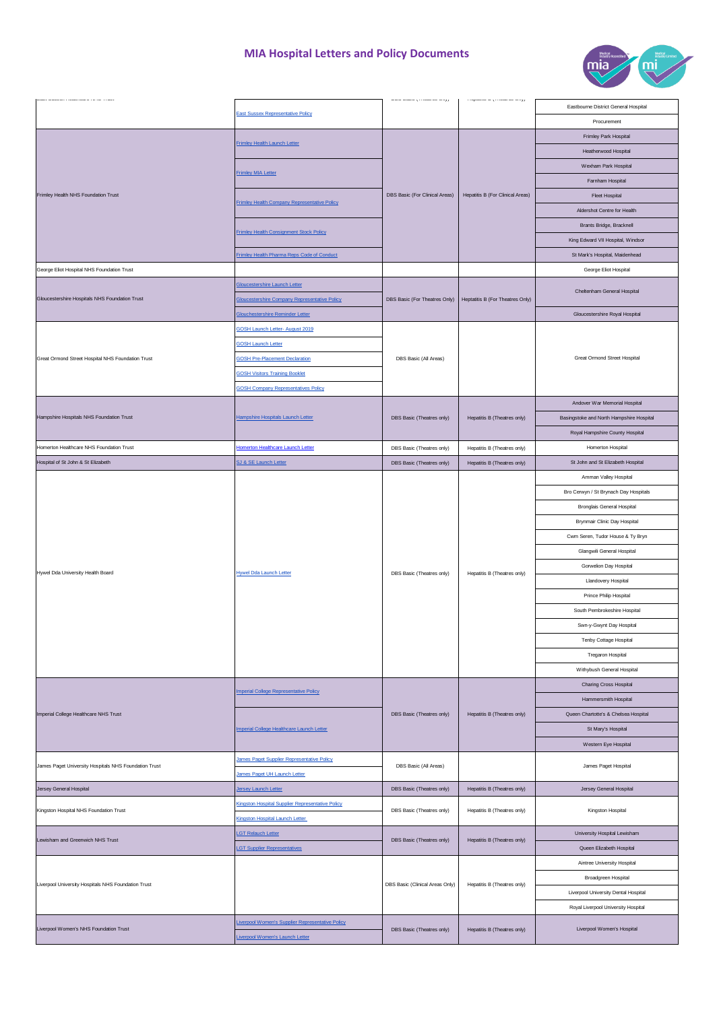

|                                                       |                                                                  |                                 | $\left\vert \right.$ responses as $\eta$ is resonance to $\eta$ | Eastbourne District General Hospital     |
|-------------------------------------------------------|------------------------------------------------------------------|---------------------------------|-----------------------------------------------------------------|------------------------------------------|
|                                                       | <b>East Sussex Representative Policy</b>                         |                                 |                                                                 | Procurement                              |
|                                                       |                                                                  |                                 |                                                                 | Frimley Park Hospital                    |
| Frimley Health NHS Foundation Trust                   | <b>Frimley Health Launch Letter</b><br><b>Frimley MIA Letter</b> | DBS Basic (For Clinical Areas)  |                                                                 |                                          |
|                                                       |                                                                  |                                 |                                                                 | Heatherwood Hospital                     |
|                                                       |                                                                  |                                 |                                                                 | Wexham Park Hospital                     |
|                                                       |                                                                  |                                 | <b>Hepatitis B (For Clinical Areas)</b>                         | Farnham Hospital                         |
|                                                       | <b>Frimley Health Company Representative Policy</b>              |                                 |                                                                 | <b>Fleet Hospital</b>                    |
|                                                       |                                                                  |                                 |                                                                 | Aldershot Centre for Health              |
|                                                       | <b>Frimley Health Consignment Stock Policy</b>                   |                                 |                                                                 | Brants Bridge, Bracknell                 |
|                                                       |                                                                  |                                 |                                                                 | King Edward VII Hospital, Windsor        |
|                                                       | Frimley Health Pharma Reps Code of Conduct                       |                                 |                                                                 | St Mark's Hospital, Maidenhead           |
| George Eliot Hospital NHS Foundation Trust            |                                                                  |                                 |                                                                 | George Eliot Hospital                    |
|                                                       | Gloucestershire Launch Letter                                    | DBS Basic (For Theatres Only)   | Heptatitis B (For Theatres Only)                                | Cheltenham General Hospital              |
| Gloucestershire Hospitals NHS Foundation Trust        | <b>Gloucestershire Company Representative Policy</b>             |                                 |                                                                 |                                          |
|                                                       | Glouchestershire Reminder Letter                                 |                                 |                                                                 | Gloucestershire Royal Hospital           |
|                                                       | <b>GOSH Launch Letter- August 2019</b>                           |                                 |                                                                 |                                          |
|                                                       | <b>GOSH Launch Letter</b>                                        |                                 |                                                                 |                                          |
| Great Ormond Street Hospital NHS Foundation Trust     | <b>GOSH Pre-Placement Declaration</b>                            | DBS Basic (All Areas)           |                                                                 | <b>Great Ormond Street Hospital</b>      |
|                                                       | <b>GOSH Visitors Training Booklet</b>                            |                                 |                                                                 |                                          |
|                                                       | <b>GOSH Company Representatives Policy</b>                       |                                 |                                                                 |                                          |
|                                                       |                                                                  |                                 |                                                                 | Andover War Memorial Hospital            |
| Hampshire Hospitals NHS Foundation Trust              | Hampshire Hospitals Launch Letter                                | DBS Basic (Theatres only)       | Hepatitis B (Theatres only)                                     | Basingstoke and North Hampshire Hospital |
|                                                       |                                                                  |                                 |                                                                 | Royal Hampshire County Hospital          |
| Homerton Healthcare NHS Foundation Trust              | Homerton Healthcare Launch Letter                                | DBS Basic (Theatres only)       | Hepatitis B (Theatres only)                                     | Homerton Hospital                        |
| Hospital of St John & St Elizabeth                    | SJ & SE Launch Letter                                            | DBS Basic (Theatres only)       | Hepatitis B (Theatres only)                                     | St John and St Elizabeth Hospital        |
|                                                       |                                                                  |                                 |                                                                 | Amman Valley Hospital                    |
|                                                       |                                                                  |                                 |                                                                 | Bro Cerwyn / St Brynach Day Hospitals    |
|                                                       |                                                                  |                                 |                                                                 |                                          |
|                                                       |                                                                  |                                 |                                                                 | <b>Bronglais General Hospital</b>        |
|                                                       |                                                                  |                                 |                                                                 | Brynmair Clinic Day Hospital             |
|                                                       |                                                                  |                                 |                                                                 |                                          |
|                                                       |                                                                  |                                 |                                                                 | Cwm Seren, Tudor House & Ty Bryn         |
|                                                       |                                                                  |                                 |                                                                 | Glangwili General Hospital               |
|                                                       |                                                                  |                                 |                                                                 | Gorwelion Day Hospital                   |
| Hywel Dda University Health Board                     | <b>Hywel Dda Launch Letter</b>                                   | DBS Basic (Theatres only)       | Hepatitis B (Theatres only)                                     | Llandovery Hospital                      |
|                                                       |                                                                  |                                 |                                                                 | Prince Philip Hospital                   |
|                                                       |                                                                  |                                 |                                                                 | South Pembrokeshire Hospital             |
|                                                       |                                                                  |                                 |                                                                 | Swn-y-Gwynt Day Hospital                 |
|                                                       |                                                                  |                                 |                                                                 | Tenby Cottage Hospital                   |
|                                                       |                                                                  |                                 |                                                                 | Tregaron Hospital                        |
|                                                       |                                                                  |                                 |                                                                 | Withybush General Hospital               |
|                                                       |                                                                  |                                 |                                                                 | Charing Cross Hospital                   |
|                                                       | <b>Imperial College Representative Policy</b>                    |                                 |                                                                 | Hammersmith Hospital                     |
| Imperial College Healthcare NHS Trust                 |                                                                  |                                 | Hepatitis B (Theatres only)                                     |                                          |
|                                                       | Imperial College Healthcare Launch Letter                        | DBS Basic (Theatres only)       |                                                                 | Queen Chartotte's & Chelsea Hospital     |
|                                                       |                                                                  |                                 |                                                                 | St Mary's Hospital                       |
|                                                       |                                                                  |                                 |                                                                 | Western Eye Hospital                     |
| James Paget University Hospitals NHS Foundation Trust | James Paget Supplier Representative Policy                       | DBS Basic (All Areas)           |                                                                 | James Paget Hospital                     |
|                                                       | James Paget UH Launch Letter                                     |                                 |                                                                 |                                          |
| Jersey General Hospital                               | Jersey Launch Letter                                             | DBS Basic (Theatres only)       | Hepatitis B (Theatres only)                                     | Jersey General Hospital                  |
| Kingston Hospital NHS Foundation Trust                | Kingston Hospital Supplier Representative Policy                 | DBS Basic (Theatres only)       | Hepatitis B (Theatres only)                                     | Kingston Hospital                        |
|                                                       | Kingston Hospital Launch Letter                                  |                                 |                                                                 |                                          |
| Lewisham and Greenwich NHS Trust                      | LGT Relauch Letter                                               | DBS Basic (Theatres only)       | Hepatitis B (Theatres only)                                     | University Hospital Lewisham             |
|                                                       | <b>LGT Supplier Representatives</b>                              |                                 |                                                                 | Queen Elizabeth Hospital                 |
|                                                       |                                                                  |                                 |                                                                 | Aintree University Hospital              |
| Liverpool University Hospitals NHS Foundation Trust   |                                                                  | DBS Basic (Clinical Areas Only) | Hepatitis B (Theatres only)                                     | Broadgreen Hospital                      |
|                                                       |                                                                  |                                 |                                                                 | Liverpool University Dental Hospital     |
|                                                       |                                                                  |                                 |                                                                 | Royal Liverpool University Hospital      |
| Liverpool Women's NHS Foundation Trust                | Liverpool Women's Supplier Representative Policy                 | DBS Basic (Theatres only)       | Hepatitis B (Theatres only)                                     | Liverpool Women's Hospital               |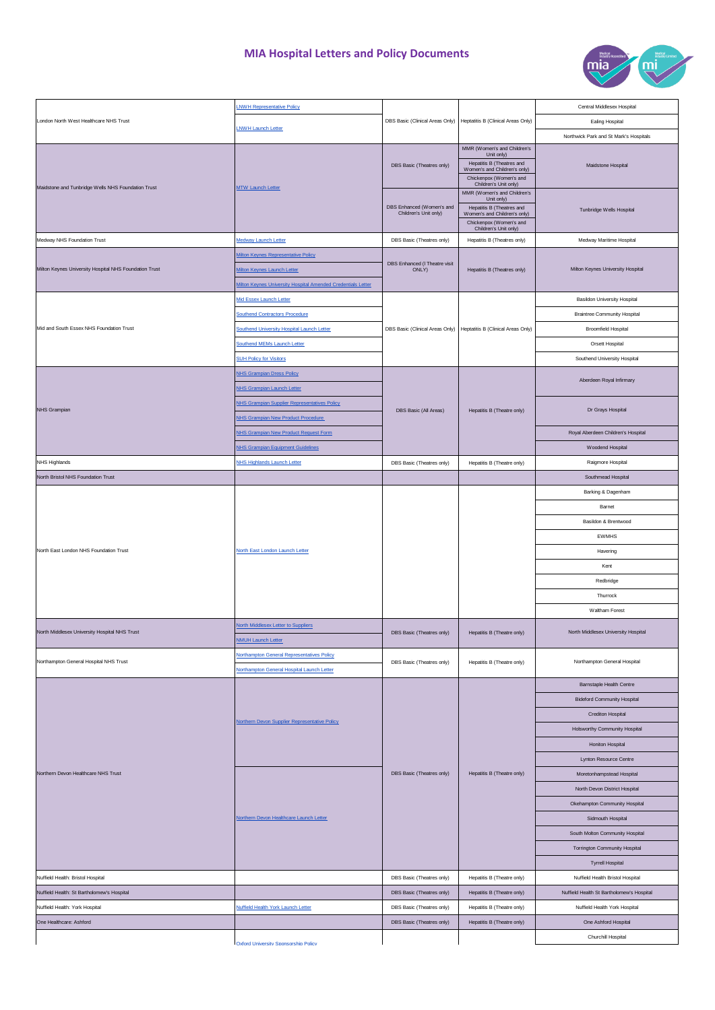

|                                                                          | <b>LNWH Representative Policy</b>                                   |                                                    |                                                                                                                                                            | Central Middlesex Hospital                 |
|--------------------------------------------------------------------------|---------------------------------------------------------------------|----------------------------------------------------|------------------------------------------------------------------------------------------------------------------------------------------------------------|--------------------------------------------|
| London North West Healthcare NHS Trust                                   |                                                                     |                                                    | DBS Basic (Clinical Areas Only)   Heptatitis B (Clinical Areas Only)                                                                                       | Ealing Hospital                            |
|                                                                          | LNWH Launch Letter                                                  |                                                    |                                                                                                                                                            | Northwick Park and St Mark's Hospitals     |
| Maidstone and Tunbridge Wells NHS Foundation Trust                       | <b>MTW Launch Letter</b>                                            | DBS Basic (Theatres only)                          | MMR (Women's and Children's<br>Unit only)<br>Hepatitis B (Theatres and<br>Women's and Children's only)<br>Chickenpox (Women's and<br>Children's Unit only) | Maidstone Hospital                         |
|                                                                          |                                                                     | DBS Enhanced (Women's and<br>Children's Unit only) | MMR (Women's and Children's<br>Unit only)<br>Hepatitis B (Theatres and<br>Women's and Children's only)<br>Chickenpox (Women's and<br>Children's Unit only) | Tunbridge Wells Hospital                   |
| Medway NHS Foundation Trust                                              | Medway Launch Letter                                                | DBS Basic (Theatres only)                          | Hepatitis B (Theatres only)                                                                                                                                | Medway Maritime Hospital                   |
|                                                                          | Milton Keynes Representative Policy                                 |                                                    |                                                                                                                                                            |                                            |
| Milton Keynes University Hospital NHS Foundation Trust                   | <b>Ailton Keynes Launch Letter</b>                                  | DBS Enhanced (I Theatre visit<br>ONLY)             | Hepatitis B (Theatres only)                                                                                                                                | Milton Keynes University Hospital          |
|                                                                          | <b>Ailton Keynes University Hospital Amended Credentials Letter</b> |                                                    |                                                                                                                                                            |                                            |
|                                                                          | Mid Essex Launch Letter                                             |                                                    |                                                                                                                                                            | <b>Basildon University Hospital</b>        |
|                                                                          | <b>Southend Contractors Procedure</b>                               |                                                    |                                                                                                                                                            | <b>Braintree Community Hospital</b>        |
| Mid and South Essex NHS Foundation Trust                                 | Southend University Hospital Launch Letter                          |                                                    | DBS Basic (Clinical Areas Only)   Heptatitis B (Clinical Areas Only)                                                                                       | <b>Broomfield Hospital</b>                 |
|                                                                          | Southend MEMs Launch Letter                                         |                                                    |                                                                                                                                                            | Orsett Hospital                            |
|                                                                          | <b>SUH Policy for Visitors</b>                                      |                                                    |                                                                                                                                                            | Southend University Hospital               |
|                                                                          | <b>NHS Grampian Dress Policy</b>                                    |                                                    |                                                                                                                                                            | Aberdeen Royal Infirmary                   |
|                                                                          | <b>NHS Grampian Launch Letter</b>                                   |                                                    |                                                                                                                                                            |                                            |
| NHS Grampian                                                             | NHS Grampian Supplier Representatives Policy                        | DBS Basic (All Areas)                              | Hepatitis B (Theatre only)                                                                                                                                 | Dr Grays Hospital                          |
|                                                                          | NHS Grampian New Product Procedure                                  |                                                    |                                                                                                                                                            |                                            |
|                                                                          | NHS Grampian New Product Request Form                               |                                                    |                                                                                                                                                            | Royal Aberdeen Children's Hospital         |
|                                                                          | <b>NHS Grampian Equipment Guidelines</b>                            |                                                    |                                                                                                                                                            | Woodend Hospital                           |
| <b>NHS Highlands</b>                                                     | <b>NHS Highlands Launch Letter</b>                                  | DBS Basic (Theatres only)                          | Hepatitis B (Theatre only)                                                                                                                                 | Raigmore Hospital                          |
| North Bristol NHS Foundation Trust                                       |                                                                     |                                                    |                                                                                                                                                            | Southmead Hospital                         |
|                                                                          |                                                                     |                                                    |                                                                                                                                                            | Barking & Dagenham                         |
|                                                                          |                                                                     |                                                    |                                                                                                                                                            | Barnet                                     |
|                                                                          | North East London Launch Letter                                     |                                                    |                                                                                                                                                            | Basildon & Brentwood                       |
|                                                                          |                                                                     |                                                    |                                                                                                                                                            | <b>EWMHS</b>                               |
| North East London NHS Foundation Trust                                   |                                                                     |                                                    |                                                                                                                                                            | Havering                                   |
|                                                                          |                                                                     |                                                    |                                                                                                                                                            | Kent                                       |
|                                                                          |                                                                     |                                                    |                                                                                                                                                            | Redbridge                                  |
|                                                                          |                                                                     |                                                    |                                                                                                                                                            | Thurrock                                   |
|                                                                          |                                                                     |                                                    |                                                                                                                                                            | Waltham Forest                             |
| North Middlesex University Hospital NHS Trust                            | North Middlesex Letter to Suppliers<br><b>NMUH Launch Letter</b>    | DBS Basic (Theatres only)                          | Hepatitis B (Theatre only)                                                                                                                                 | North Middlesex University Hospital        |
| Northampton General Hospital NHS Trust                                   | Northampton General Representatives Policy                          | DBS Basic (Theatres only)                          | Hepatitis B (Theatre only)                                                                                                                                 | Northampton General Hospital               |
|                                                                          | Northampton General Hospital Launch Letter                          |                                                    |                                                                                                                                                            |                                            |
|                                                                          |                                                                     | DBS Basic (Theatres only)                          | Hepatitis B (Theatre only)                                                                                                                                 | <b>Barnstaple Health Centre</b>            |
|                                                                          | Northern Devon Supplier Representative Policy                       |                                                    |                                                                                                                                                            | <b>Bideford Community Hospital</b>         |
|                                                                          |                                                                     |                                                    |                                                                                                                                                            | <b>Crediton Hospital</b>                   |
| Northern Devon Healthcare NHS Trust<br>Nuffield Health: Bristol Hospital |                                                                     |                                                    |                                                                                                                                                            | Holsworthy Community Hospital              |
|                                                                          |                                                                     |                                                    |                                                                                                                                                            | Honiton Hospital<br>Lynton Resource Centre |
|                                                                          | Northern Devon Healthcare Launch Letter                             |                                                    |                                                                                                                                                            | Moretonhampstead Hospital                  |
|                                                                          |                                                                     |                                                    |                                                                                                                                                            | North Devon District Hospital              |
|                                                                          |                                                                     |                                                    |                                                                                                                                                            | Okehampton Community Hospital              |
|                                                                          |                                                                     |                                                    |                                                                                                                                                            | Sidmouth Hospital                          |
|                                                                          |                                                                     |                                                    |                                                                                                                                                            | South Molton Community Hospital            |
|                                                                          |                                                                     |                                                    |                                                                                                                                                            | Torrington Community Hospital              |
|                                                                          |                                                                     |                                                    |                                                                                                                                                            | <b>Tyrrell Hospital</b>                    |
|                                                                          |                                                                     | DBS Basic (Theatres only)                          | Hepatitis B (Theatre only)                                                                                                                                 | Nuffield Health Bristol Hospital           |
| Nuffield Health: St Bartholomew's Hospital                               |                                                                     | DBS Basic (Theatres only)                          | Hepatitis B (Theatre only)                                                                                                                                 | Nuffield Health St Bartholomew's Hospital  |
| Nuffield Health: York Hospital                                           | Nuffield Health York Launch Letter                                  | DBS Basic (Theatres only)                          | Hepatitis B (Theatre only)                                                                                                                                 | Nuffield Health York Hospital              |
| One Healthcare: Ashford                                                  |                                                                     | DBS Basic (Theatres only)                          | Hepatitis B (Theatre only)                                                                                                                                 | One Ashford Hospital                       |
|                                                                          | Oxford University Sponsorship Policy                                |                                                    |                                                                                                                                                            | Churchill Hospital                         |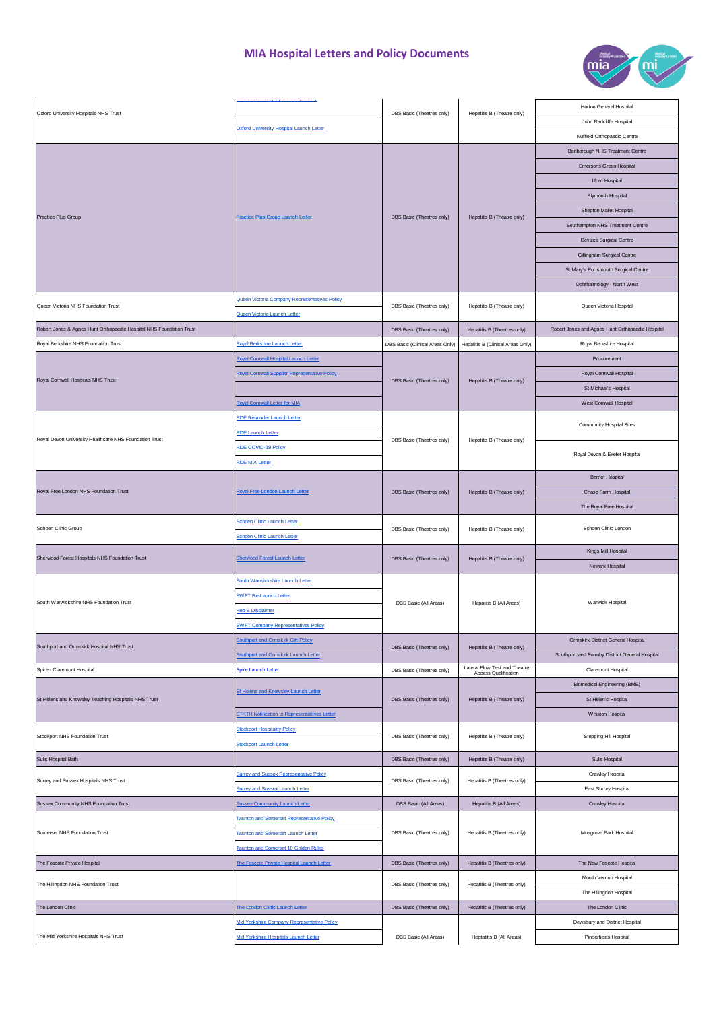

| Oxford University Hospitals NHS Trust                               |                                                      | DBS Basic (Theatres only)       | Hepatitis B (Theatre only)                             | Horton General Hospital                          |
|---------------------------------------------------------------------|------------------------------------------------------|---------------------------------|--------------------------------------------------------|--------------------------------------------------|
|                                                                     | Oxford University Hospital Launch Letter             |                                 |                                                        | John Radcliffe Hospital                          |
|                                                                     |                                                      |                                 |                                                        | Nuffield Orthopaedic Centre                      |
| Practice Plus Group                                                 | <b>Practice Plus Group Launch Letter</b>             |                                 |                                                        | Barlborough NHS Treatment Centre                 |
|                                                                     |                                                      |                                 |                                                        | Emersons Green Hospital                          |
|                                                                     |                                                      |                                 |                                                        | <b>Ilford Hospital</b>                           |
|                                                                     |                                                      | DBS Basic (Theatres only)       |                                                        | Plymouth Hospital                                |
|                                                                     |                                                      |                                 | Hepatitis B (Theatre only)                             | Shepton Mallet Hospital                          |
|                                                                     |                                                      |                                 |                                                        |                                                  |
|                                                                     |                                                      |                                 |                                                        | Southampton NHS Treatment Centre                 |
|                                                                     |                                                      |                                 |                                                        | Devizes Surgical Centre                          |
|                                                                     |                                                      |                                 |                                                        | Gillingham Surgical Centre                       |
|                                                                     |                                                      |                                 |                                                        | St Mary's Portsmouth Surgical Centre             |
|                                                                     |                                                      |                                 |                                                        | Ophthalmology - North West                       |
| Queen Victoria NHS Foundation Trust                                 | Queen Victoria Company Representatives Policy        | DBS Basic (Theatres only)       | Hepatitis B (Theatre only)                             | Queen Victoria Hospital                          |
|                                                                     | Queen Victoria Launch Letter                         |                                 |                                                        |                                                  |
| Robert Jones & Agnes Hunt Orthopaedic Hospital NHS Foundation Trust |                                                      | DBS Basic (Theatres only)       | Hepatitis B (Theatres only)                            | Robert Jones and Agnes Hunt Orthopaedic Hospital |
| Royal Berkshire NHS Foundation Trust                                | Royal Berkshire Launch Letter                        | DBS Basic (Clinical Areas Only) | Hepatitis B (Clinical Areas Only)                      | Royal Berkshire Hospital                         |
|                                                                     | Royal Cornwall Hospital Launch Letter                |                                 |                                                        | Procurement                                      |
|                                                                     | Royal Cornwall Supplier Representative Policy        |                                 |                                                        | Royal Cornwall Hospital                          |
| Royal Cornwall Hospitals NHS Trust                                  |                                                      | DBS Basic (Theatres only)       | Hepatitis B (Theatre only)                             | St Michael's Hospital                            |
|                                                                     | Royal Cornwall Letter for MIA                        |                                 |                                                        | West Cornwall Hospital                           |
|                                                                     | <b>RDE Reminder Launch Letter</b>                    |                                 |                                                        |                                                  |
|                                                                     |                                                      |                                 |                                                        | Community Hospital Sites                         |
| Royal Devon University Healthcare NHS Foundation Trust              | <b>RDE Launch Letter</b>                             | DBS Basic (Theatres only)       | Hepatitis B (Theatre only)                             |                                                  |
|                                                                     | RDE COVID-19 Policy                                  |                                 |                                                        | Royal Devon & Exeter Hospital                    |
|                                                                     | <b>RDE MIA Letter</b>                                |                                 |                                                        |                                                  |
|                                                                     |                                                      |                                 |                                                        | <b>Barnet Hospital</b>                           |
| Royal Free London NHS Foundation Trust                              | Royal Free London Launch Letter                      | DBS Basic (Theatres only)       | Hepatitis B (Theatre only)                             | Chase Farm Hospital                              |
|                                                                     |                                                      |                                 |                                                        | The Royal Free Hospital                          |
| Schoen Clinic Group                                                 | Schoen Clinic Launch Letter                          | DBS Basic (Theatres only)       | Hepatitis B (Theatre only)                             | Schoen Clinic London                             |
|                                                                     | <b>Schoen Clinic Launch Letter</b>                   |                                 |                                                        |                                                  |
| Sherwood Forest Hospitals NHS Foundation Trust                      | Sherwood Forest Launch Letter                        | DBS Basic (Theatres only)       | Hepatitis B (Theatre only)                             | Kings Mill Hospital                              |
|                                                                     |                                                      |                                 |                                                        | Newark Hospital                                  |
|                                                                     | South Warwickshire Launch Letter                     | DBS Basic (All Areas)           | Hepatitis B (All Areas)                                | Warwick Hospital                                 |
| South Warwickshire NHS Foundation Trust                             | <b>SWFT Re-Launch Letter</b>                         |                                 |                                                        |                                                  |
|                                                                     | <b>Hep B Disclaimer</b>                              |                                 |                                                        |                                                  |
|                                                                     | <b>SWFT Company Representatives Policy</b>           |                                 |                                                        |                                                  |
|                                                                     | <b>Southport and Ormskirk Gift Policy</b>            |                                 | Hepatitis B (Theatre only)                             | Ormskirk District General Hospital               |
| Southport and Ormskirk Hospital NHS Trust                           | <b>Southport and Ormskirk Launch Letter</b>          | DBS Basic (Theatres only)       |                                                        | Southport and Formby District General Hospital   |
| Spire - Claremont Hospital                                          | Spire Launch Letter                                  | DBS Basic (Theatres only)       | Lateral Flow Test and Theatre                          | Claremont Hospital                               |
|                                                                     |                                                      |                                 | Access Qualification<br>Hepatitis B (Theatre only)     | Biomedical Engineering (BME)                     |
| St Helens and Knowsley Teaching Hospitals NHS Trust                 | St Helens and Knowsley Launch Letter                 | DBS Basic (Theatres only)       |                                                        | St Helen's Hospital                              |
|                                                                     | <b>STKTH Notification to Representatitves Letter</b> |                                 |                                                        | Whiston Hospital                                 |
|                                                                     | <b>Stockport Hospitality Policy</b>                  |                                 |                                                        |                                                  |
| Stockport NHS Foundation Trust                                      |                                                      | DBS Basic (Theatres only)       | Hepatitis B (Theatre only)                             | Stepping Hill Hospital                           |
|                                                                     | Stockport Launch Letter                              |                                 |                                                        |                                                  |
| Sulis Hospital Bath                                                 |                                                      | DBS Basic (Theatres only)       | Hepatitis B (Theatre only)                             | Sulis Hospital                                   |
| Surrey and Sussex Hospitals NHS Trust                               | <b>Surrey and Sussex Representative Policy</b>       | DBS Basic (Theatres only)       | Hepatitis B (Theatres only)                            | Crawley Hospital                                 |
|                                                                     | <b>Surrey and Sussex Launch Letter</b>               |                                 |                                                        | East Surrey Hospital                             |
| Sussex Community NHS Foundation Trust                               | <b>Sussex Community Launch Letter</b>                | DBS Basic (All Areas)           | Hepatitis B (All Areas)<br>Hepatitis B (Theatres only) | Crawley Hospital                                 |
| Somerset NHS Foundation Trust                                       | Taunton and Somerset Representative Policy           |                                 |                                                        |                                                  |
|                                                                     | Taunton and Somerset Launch Letter                   | DBS Basic (Theatres only)       |                                                        | Musgrove Park Hospital                           |
|                                                                     | Taunton and Somerset 10 Golden Rules                 |                                 |                                                        |                                                  |
| The Foscote Private Hospital                                        | The Foscote Private Hospital Launch Letter           | DBS Basic (Theatres only)       | Hepatitis B (Theatres only)                            | The New Foscote Hospital                         |
| The Hillingdon NHS Foundation Trust                                 |                                                      |                                 | Hepatitis B (Theatres only)                            | Mouth Vernon Hospital                            |
|                                                                     |                                                      | DBS Basic (Theatres only)       |                                                        | The Hillingdon Hospital                          |
| The London Clinic                                                   | The London Clinic Launch Letter                      | DBS Basic (Theatres only)       | Hepatitis B (Theatres only)                            | The London Clinic                                |
|                                                                     | Mid Yorkshire Company Representative Policy          |                                 |                                                        | Dewsbury and District Hospital                   |
| The Mid Yorkshire Hospitals NHS Trust                               | Mid Yorkshire Hospitals Launch Letter                | DBS Basic (All Areas)           | Heptatitis B (All Areas)                               | Pinderfields Hospital                            |